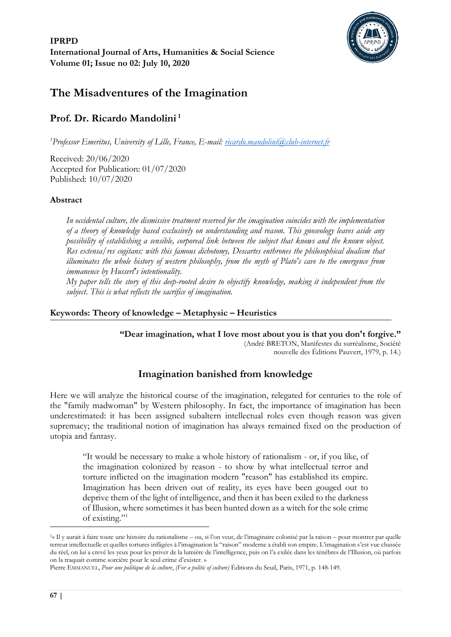

# **The Misadventures of the Imagination**

## **Prof. Dr. Ricardo Mandolini <sup>1</sup>**

*<sup>1</sup>Professor Emeritus, University of Lille, France, E-mail: [ricardo.mandolini@club-internet.fr](mailto:ricardo.mandolini@club-internet.fr)*

Received: 20/06/2020 Accepted for Publication: 01/07/2020 Published: 10/07/2020

#### **Abstract**

*In occidental culture, the dismissive treatment reserved for the imagination coincides with the implementation of a theory of knowledge based exclusively on understanding and reason. This gnoseology leaves aside any possibility of establishing a sensible, corporeal link between the subject that knows and the known object. Res extensa/res cogitans: with this famous dichotomy, Descartes enthrones the philosophical dualism that illuminates the whole history of western philosophy, from the myth of Plato's cave to the emergence from immanence by Husserl's intentionality.*

*My paper tells the story of this deep-rooted desire to objectify knowledge, making it independent from the subject. This is what reflects the sacrifice of imagination.* 

#### **Keywords: Theory of knowledge – Metaphysic – Heuristics**

**"Dear imagination, what I love most about you is that you don't forgive."** (André BRETON, Manifestes du surréalisme, Société

nouvelle des Éditions Pauvert, 1979, p. 14.)

## **Imagination banished from knowledge**

Here we will analyze the historical course of the imagination, relegated for centuries to the role of the "family madwoman" by Western philosophy. In fact, the importance of imagination has been underestimated: it has been assigned subaltern intellectual roles even though reason was given supremacy; the traditional notion of imagination has always remained fixed on the production of utopia and fantasy.

"It would be necessary to make a whole history of rationalism - or, if you like, of the imagination colonized by reason - to show by what intellectual terror and torture inflicted on the imagination modern "reason" has established its empire. Imagination has been driven out of reality, its eyes have been gouged out to deprive them of the light of intelligence, and then it has been exiled to the darkness of Illusion, where sometimes it has been hunted down as a witch for the sole crime of existing."<sup>1</sup>

<sup>&</sup>lt;sup>1</sup>« Il y aurait à faire toute une histoire du rationalisme – ou, si l'on veut, de l'imaginaire colonisé par la raison – pour montrer par quelle terreur intellectuelle et quelles tortures infligées à l'imagination la "raison" moderne a établi son empire. L'imagination s'est vue chassée du réel, on lui a crevé les yeux pour les priver de la lumière de l'intelligence, puis on l'a exilée dans les ténèbres de l'Illusion, où parfois on la traquait comme sorcière pour le seul crime d'exister. »

Pierre EMMANUEL, *Pour une politique de la culture*, *(For a politic of culture)* Éditions du Seuil, Paris, 1971, p. 148-149.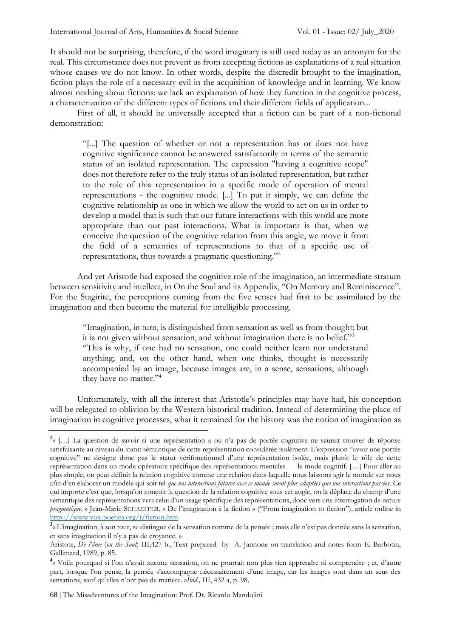It should not be surprising, therefore, if the word imaginary is still used today as an antonym for the real. This circumstance does not prevent us from accepting fictions as explanations of a real situation whose causes we do not know. In other words, despite the discredit brought to the imagination, fiction plays the role of a necessary evil in the acquisition of knowledge and in learning. We know almost nothing about fictions: we lack an explanation of how they function in the cognitive process, a characterization of the different types of fictions and their different fields of application...

First of all, it should be universally accepted that a fiction can be part of a non-fictional demonstration:

"[...] The question of whether or not a representation has or does not have cognitive significance cannot be answered satisfactorily in terms of the semantic status of an isolated representation. The expression "having a cognitive scope" does not therefore refer to the truly status of an isolated representation, but rather to the role of this representation in a specific mode of operation of mental representations - the cognitive mode. [...] To put it simply, we can define the cognitive relationship as one in which we allow the world to act on us in order to develop a model that is such that our future interactions with this world are more appropriate than our past interactions. What is important is that, when we conceive the question of the cognitive relation from this angle, we move it from the field of a semantics of representations to that of a specific use of representations, thus towards a pragmatic questioning."<sup>2</sup>

And yet Aristotle had exposed the cognitive role of the imagination, an intermediate stratum between sensitivity and intellect, in On the Soul and its Appendix, "On Memory and Reminiscence". For the Stagirite, the perceptions coming from the five senses had first to be assimilated by the imagination and then become the material for intelligible processing.

"Imagination, in turn, is distinguished from sensation as well as from thought; but it is not given without sensation, and without imagination there is no belief."<sup>3</sup> "This is why, if one had no sensation, one could neither learn nor understand anything; and, on the other hand, when one thinks, thought is necessarily accompanied by an image, because images are, in a sense, sensations, although they have no matter."<sup>4</sup>

Unfortunately, with all the interest that Aristotle's principles may have had, his conception will be relegated to oblivion by the Western historical tradition. Instead of determining the place of imagination in cognitive processes, what it remained for the history was the notion of imagination as

<sup>&</sup>lt;sup>2</sup>« […] La question de savoir si une représentation a ou n'a pas de portée cognitive ne saurait trouver de réponse satisfaisante au niveau du statut sémantique de cette représentation considérée isolément. L'expression "avoir une portée cognitive" ne désigne donc pas le statut vérifonctionnel d'une représentation isolée, mais plutôt le rôle de cette représentation dans un mode opératoire spécifique des représentations mentales — le mode cognitif. […] Pour aller au plus simple, on peut définir la relation cognitive comme une relation dans laquelle nous laissons agir le monde sur nous afin d'en élaborer un modèle qui soit tel *que nos interactions futures avec ce monde soient plus adaptées que nos interactions passées*. Ce qui importe c'est que, lorsqu'on conçoit la question de la relation cognitive sous cet angle, on la déplace du champ d'une sémantique des représentations vers celui d'un usage spécifique des représentations, donc vers une interrogation de nature *pragmatique*. » Jean-Marie SCHAEFFER, « De l'imagination à la fiction » ("From imagination to fiction"), article online in http [://www.vox-poetica.org/t/fiction.htm](http://www.vox-poetica.org/t/fiction.htm)

**<sup>3</sup>** « L'imagination, à son tour, se distingue de la sensation comme de la pensée ; mais elle n'est pas donnée sans la sensation, et sans imagination il n'y a pas de croyance. »

Aristote, *De l'âme* (*on the Soul*) III,427 b., Text prepared by A. Jannone on translation and notes form E. Barbotin, Gallimard, 1989, p. 85.

<sup>&</sup>lt;sup>4</sup> « Voila pourquoi si l'on n'avait aucune sensation, on ne pourrait non plus rien apprendre ni comprendre ; et, d'autre part, lorsque l'on pense, la pensée s'accompagne nécessairement d'une image, car les images sont dans un sens des sensations, sauf qu'elles n'ont pas de matière. »*Ibid.,* III, 432 a, p. 98.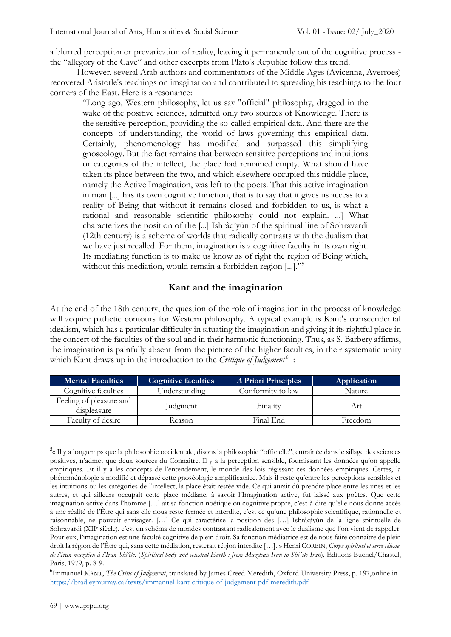a blurred perception or prevarication of reality, leaving it permanently out of the cognitive process the "allegory of the Cave" and other excerpts from Plato's Republic follow this trend.

However, several Arab authors and commentators of the Middle Ages (Avicenna, Averroes) recovered Aristotle's teachings on imagination and contributed to spreading his teachings to the four corners of the East. Here is a resonance:

"Long ago, Western philosophy, let us say "official" philosophy, dragged in the wake of the positive sciences, admitted only two sources of Knowledge. There is the sensitive perception, providing the so-called empirical data. And there are the concepts of understanding, the world of laws governing this empirical data. Certainly, phenomenology has modified and surpassed this simplifying gnoseology. But the fact remains that between sensitive perceptions and intuitions or categories of the intellect, the place had remained empty. What should have taken its place between the two, and which elsewhere occupied this middle place, namely the Active Imagination, was left to the poets. That this active imagination in man [...] has its own cognitive function, that is to say that it gives us access to a reality of Being that without it remains closed and forbidden to us, is what a rational and reasonable scientific philosophy could not explain. ...] What characterizes the position of the [...] Ishrâqîyûn of the spiritual line of Sohravardi (12th century) is a scheme of worlds that radically contrasts with the dualism that we have just recalled. For them, imagination is a cognitive faculty in its own right. Its mediating function is to make us know as of right the region of Being which, without this mediation, would remain a forbidden region [...]."<sup>5</sup>

## **Kant and the imagination**

At the end of the 18th century, the question of the role of imagination in the process of knowledge will acquire pathetic contours for Western philosophy. A typical example is Kant's transcendental idealism, which has a particular difficulty in situating the imagination and giving it its rightful place in the concert of the faculties of the soul and in their harmonic functioning. Thus, as S. Barbery affirms, the imagination is painfully absent from the picture of the higher faculties, in their systematic unity which Kant draws up in the introduction to the *Critique of Judgement*<sup>6</sup>:

| <b>Mental Faculties</b>                | <b>Cognitive faculties</b> | <b>A Priori Principles</b> | Application |
|----------------------------------------|----------------------------|----------------------------|-------------|
| Cognitive faculties                    | Understanding              | Conformity to law          | Nature      |
| Feeling of pleasure and<br>displeasure | Judgment                   | Finality                   | Art         |
| Faculty of desire                      | Reason                     | Final End                  | Freedom     |

**<sup>5</sup>** « Il y a longtemps que la philosophie occidentale, disons la philosophie "officielle", entraînée dans le sillage des sciences positives, n'admet que deux sources du Connaître. Il y a la perception sensible, fournissant les données qu'on appelle empiriques. Et il y a les concepts de l'entendement, le monde des lois régissant ces données empiriques. Certes, la phénoménologie a modifié et dépassé cette gnoséologie simplificatrice. Mais il reste qu'entre les perceptions sensibles et les intuitions ou les catégories de l'intellect, la place était restée vide. Ce qui aurait dû prendre place entre les unes et les autres, et qui ailleurs occupait cette place médiane, à savoir l'Imagination active, fut laissé aux poètes. Que cette imagination active dans l'homme […] ait sa fonction noétique ou cognitive propre, c'est-à-dire qu'elle nous donne accès à une réalité de l'Être qui sans elle nous reste fermée et interdite, c'est ce qu'une philosophie scientifique, rationnelle et raisonnable, ne pouvait envisager. […] Ce qui caractérise la position des […] Ishrâqîyûn de la ligne spirituelle de Sohravardi (XII<sup>e</sup> siècle), c'est un schéma de mondes contrastant radicalement avec le dualisme que l'on vient de rappeler. Pour eux, l'imagination est une faculté cognitive de plein droit. Sa fonction médiatrice est de nous faire connaître de plein droit la région de l'Être qui, sans cette médiation, resterait région interdite […]. » Henri CORBIN, *Corps spirituel et terre céleste, de l'Iran mazdéen à l'Iran Shî'ite*, (*Spiritual body and celestial Earth : from Mazdean Iran to Shiʻite Iran*), Éditions Buchel/Chastel, Paris, 1979, p. 8-9.

**<sup>6</sup>** Immanuel KANT, *The Critic of Judgement*, translated by James Creed Meredith, Oxford University Press, p. 197,online in <https://bradleymurray.ca/texts/immanuel-kant-critique-of-judgement-pdf-meredith.pdf>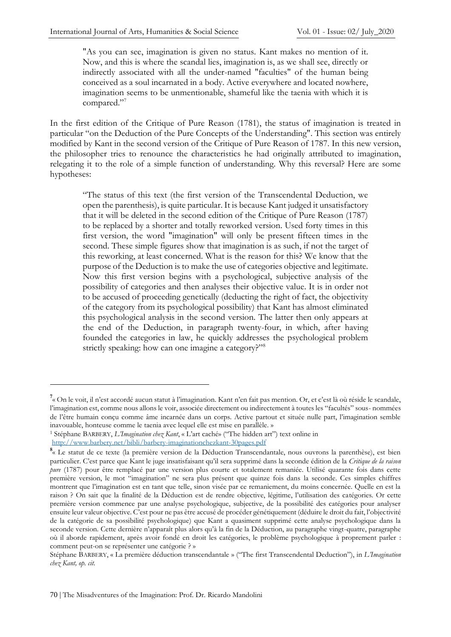"As you can see, imagination is given no status. Kant makes no mention of it. Now, and this is where the scandal lies, imagination is, as we shall see, directly or indirectly associated with all the under-named "faculties" of the human being conceived as a soul incarnated in a body. Active everywhere and located nowhere, imagination seems to be unmentionable, shameful like the taenia with which it is compared."<sup>7</sup>

In the first edition of the Critique of Pure Reason (1781), the status of imagination is treated in particular "on the Deduction of the Pure Concepts of the Understanding". This section was entirely modified by Kant in the second version of the Critique of Pure Reason of 1787. In this new version, the philosopher tries to renounce the characteristics he had originally attributed to imagination, relegating it to the role of a simple function of understanding. Why this reversal? Here are some hypotheses:

"The status of this text (the first version of the Transcendental Deduction, we open the parenthesis), is quite particular. It is because Kant judged it unsatisfactory that it will be deleted in the second edition of the Critique of Pure Reason (1787) to be replaced by a shorter and totally reworked version. Used forty times in this first version, the word "imagination" will only be present fifteen times in the second. These simple figures show that imagination is as such, if not the target of this reworking, at least concerned. What is the reason for this? We know that the purpose of the Deduction is to make the use of categories objective and legitimate. Now this first version begins with a psychological, subjective analysis of the possibility of categories and then analyses their objective value. It is in order not to be accused of proceeding genetically (deducting the right of fact, the objectivity of the category from its psychological possibility) that Kant has almost eliminated this psychological analysis in the second version. The latter then only appears at the end of the Deduction, in paragraph twenty-four, in which, after having founded the categories in law, he quickly addresses the psychological problem strictly speaking: how can one imagine a category?"<sup>8</sup>

<sup>&</sup>lt;sup>7</sup>« On le voit, il n'est accordé aucun statut à l'imagination. Kant n'en fait pas mention. Or, et c'est là où réside le scandale, l'imagination est, comme nous allons le voir, associée directement ou indirectement à toutes les "facultés" sous- nommées de l'être humain conçu comme âme incarnée dans un corps. Active partout et située nulle part, l'imagination semble inavouable, honteuse comme le taenia avec lequel elle est mise en parallèle. »

<sup>1</sup> Stéphane BARBERY, *L'Imagination chez Kant*, « L'art caché» ("The hidden art") text online in <http://www.barbery.net/bibli/barbery-imaginationchezkant-30pages.pdf>

**<sup>8</sup>** « Le statut de ce texte (la première version de la Déduction Transcendantale, nous ouvrons la parenthèse), est bien particulier. C'est parce que Kant le juge insatisfaisant qu'il sera supprimé dans la seconde édition de la *Critique de la raison pure* (1787) pour être remplacé par une version plus courte et totalement remaniée. Utilisé quarante fois dans cette première version, le mot "imagination" ne sera plus présent que quinze fois dans la seconde. Ces simples chiffres montrent que l'imagination est en tant que telle, sinon visée par ce remaniement, du moins concernée. Quelle en est la raison ? On sait que la finalité de la Déduction est de rendre objective, légitime, l'utilisation des catégories. Or cette première version commence par une analyse psychologique, subjective, de la possibilité des catégories pour analyser ensuite leur valeur objective. C'est pour ne pas être accusé de procéder génétiquement (déduire le droit du fait, l'objectivité de la catégorie de sa possibilité psychologique) que Kant a quasiment supprimé cette analyse psychologique dans la seconde version. Cette dernière n'apparaît plus alors qu'à la fin de la Déduction, au paragraphe vingt-quatre, paragraphe où il aborde rapidement, après avoir fondé en droit les catégories, le problème psychologique à proprement parler : comment peut-on se représenter une catégorie ? »

Stéphane BARBERY, « La première déduction transcendantale » ("The first Transcendental Deduction"), in *L'Imagination chez Kant, op. cit.*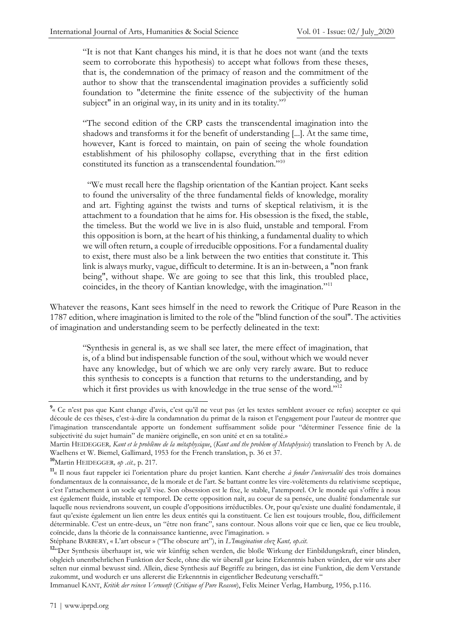"It is not that Kant changes his mind, it is that he does not want (and the texts seem to corroborate this hypothesis) to accept what follows from these theses, that is, the condemnation of the primacy of reason and the commitment of the author to show that the transcendental imagination provides a sufficiently solid foundation to "determine the finite essence of the subjectivity of the human subject" in an original way, in its unity and in its totality."<sup>9</sup>

"The second edition of the CRP casts the transcendental imagination into the shadows and transforms it for the benefit of understanding [...]. At the same time, however, Kant is forced to maintain, on pain of seeing the whole foundation establishment of his philosophy collapse, everything that in the first edition constituted its function as a transcendental foundation."<sup>10</sup>

 "We must recall here the flagship orientation of the Kantian project. Kant seeks to found the universality of the three fundamental fields of knowledge, morality and art. Fighting against the twists and turns of skeptical relativism, it is the attachment to a foundation that he aims for. His obsession is the fixed, the stable, the timeless. But the world we live in is also fluid, unstable and temporal. From this opposition is born, at the heart of his thinking, a fundamental duality to which we will often return, a couple of irreducible oppositions. For a fundamental duality to exist, there must also be a link between the two entities that constitute it. This link is always murky, vague, difficult to determine. It is an in-between, a "non frank being", without shape. We are going to see that this link, this troubled place, coincides, in the theory of Kantian knowledge, with the imagination."<sup>11</sup>

Whatever the reasons, Kant sees himself in the need to rework the Critique of Pure Reason in the 1787 edition, where imagination is limited to the role of the "blind function of the soul". The activities of imagination and understanding seem to be perfectly delineated in the text:

"Synthesis in general is, as we shall see later, the mere effect of imagination, that is, of a blind but indispensable function of the soul, without which we would never have any knowledge, but of which we are only very rarely aware. But to reduce this synthesis to concepts is a function that returns to the understanding, and by which it first provides us with knowledge in the true sense of the word."<sup>12</sup>

**<sup>10</sup>**Martin HEIDEGGER*, op .cit.,* p. 217.

<sup>&</sup>lt;sup>9</sup>« Ce n'est pas que Kant change d'avis, c'est qu'il ne veut pas (et les textes semblent avouer ce refus) accepter ce qui découle de ces thèses, c'est-à-dire la condamnation du primat de la raison et l'engagement pour l'auteur de montrer que l'imagination transcendantale apporte un fondement suffisamment solide pour "déterminer l'essence finie de la subjectivité du sujet humain" de manière originelle, en son unité et en sa totalité.»

Martin HEIDEGGER*, Kant et le problème de la métaphysique*, (*Kant and the problem of Metaphysics*) translation to French by A. de Waelhens et W. Biemel, Gallimard, 1953 for the French translation, p. 36 et 37.

**<sup>11</sup>** « Il nous faut rappeler ici l'orientation phare du projet kantien. Kant cherche *à fonder l'universalité* des trois domaines fondamentaux de la connaissance, de la morale et de l'art. Se battant contre les vire-volètements du relativisme sceptique, c'est l'attachement à un socle qu'il vise. Son obsession est le fixe, le stable, l'atemporel. Or le monde qui s'offre à nous est également fluide, instable et temporel. De cette opposition naît, au coeur de sa pensée, une dualité fondamentale sur laquelle nous reviendrons souvent, un couple d'oppositions irréductibles. Or, pour qu'existe une dualité fondamentale, il faut qu'existe également un lien entre les deux entités qui la constituent. Ce lien est toujours trouble, flou, difficilement déterminable. C'est un entre-deux, un "être non franc", sans contour. Nous allons voir que ce lien, que ce lieu trouble, coïncide, dans la théorie de la connaissance kantienne, avec l'imagination. »

Stéphane BARBERY, « L'art obscur » ("The obscure art"), in *L'Imagination chez Kant, op.cit*.

**<sup>12</sup>**"Der Synthesis überhaupt ist, wie wir künftig sehen werden, die bloße Wirkung der Einbildungskraft, einer blinden, obgleich unentbehrlichen Funktion der Seele, ohne die wir überall gar keine Erkenntnis haben würden, der wir uns aber selten nur einmal bewusst sind. Allein, diese Synthesis auf Begriffe zu bringen, das ist eine Funktion, die dem Verstande zukommt, und wodurch er uns allererst die Erkenntnis in eigentlicher Bedeutung verschafft."

Immanuel KANT, *Kritik der reinen Vernunft* (*Critique of Pure Reason*), Felix Meiner Verlag, Hamburg, 1956, p.116.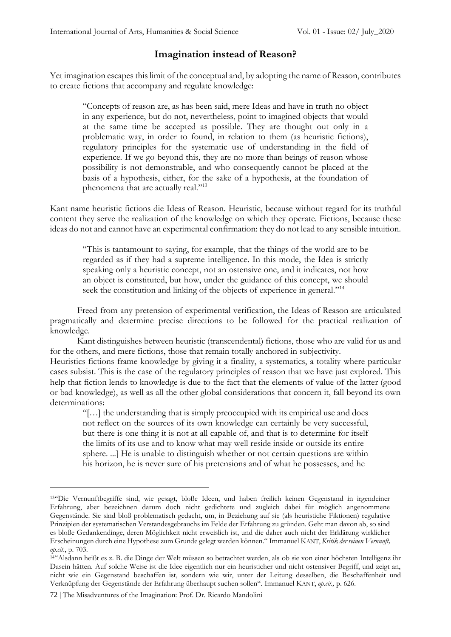### **Imagination instead of Reason?**

Yet imagination escapes this limit of the conceptual and, by adopting the name of Reason, contributes to create fictions that accompany and regulate knowledge:

"Concepts of reason are, as has been said, mere Ideas and have in truth no object in any experience, but do not, nevertheless, point to imagined objects that would at the same time be accepted as possible. They are thought out only in a problematic way, in order to found, in relation to them (as heuristic fictions), regulatory principles for the systematic use of understanding in the field of experience. If we go beyond this, they are no more than beings of reason whose possibility is not demonstrable, and who consequently cannot be placed at the basis of a hypothesis, either, for the sake of a hypothesis, at the foundation of phenomena that are actually real."<sup>13</sup>

Kant name heuristic fictions die Ideas of Reason. Heuristic, because without regard for its truthful content they serve the realization of the knowledge on which they operate. Fictions, because these ideas do not and cannot have an experimental confirmation: they do not lead to any sensible intuition.

"This is tantamount to saying, for example, that the things of the world are to be regarded as if they had a supreme intelligence. In this mode, the Idea is strictly speaking only a heuristic concept, not an ostensive one, and it indicates, not how an object is constituted, but how, under the guidance of this concept, we should seek the constitution and linking of the objects of experience in general."<sup>14</sup>

Freed from any pretension of experimental verification, the Ideas of Reason are articulated pragmatically and determine precise directions to be followed for the practical realization of knowledge.

Kant distinguishes between heuristic (transcendental) fictions, those who are valid for us and for the others, and mere fictions, those that remain totally anchored in subjectivity.

Heuristics fictions frame knowledge by giving it a finality, a systematics, a totality where particular cases subsist. This is the case of the regulatory principles of reason that we have just explored. This help that fiction lends to knowledge is due to the fact that the elements of value of the latter (good or bad knowledge), as well as all the other global considerations that concern it, fall beyond its own determinations:

"[…] the understanding that is simply preoccupied with its empirical use and does not reflect on the sources of its own knowledge can certainly be very successful, but there is one thing it is not at all capable of, and that is to determine for itself the limits of its use and to know what may well reside inside or outside its entire sphere. ...] He is unable to distinguish whether or not certain questions are within his horizon, he is never sure of his pretensions and of what he possesses, and he

<sup>13</sup>"Die Vernunftbegriffe sind, wie gesagt, bloße Ideen, und haben freilich keinen Gegenstand in irgendeiner Erfahrung, aber bezeichnen darum doch nicht gedichtete und zugleich dabei für möglich angenommene Gegenstände. Sie sind bloß problematisch gedacht, um, in Beziehung auf sie (als heuristiche Fiktionen) regulative Prinzipien der systematischen Verstandesgebrauchs im Felde der Erfahrung zu gründen. Geht man davon ab, so sind es bloße Gedankendinge, deren Möglichkeit nicht erweislich ist, und die daher auch nicht der Erklärung wirklicher Erscheinungen durch eine Hypothese zum Grunde gelegt werden können." Immanuel KANT, *Kritik der reinen Vernunft, op.cit*., p. 703.

<sup>14</sup>"Alsdann heißt es z. B. die Dinge der Welt müssen so betrachtet werden, als ob sie von einer höchsten Intelligenz ihr Dasein hätten. Auf solche Weise ist die Idee eigentlich nur ein heuristicher und nicht ostensiver Begriff, und zeigt an, nicht wie ein Gegenstand beschaffen ist, sondern wie wir, unter der Leitung desselben, die Beschaffenheit und Verknüpfung der Gegenstände der Erfahrung überhaupt suchen sollen". Immanuel KANT, *op.cit.,* p. 626.

<sup>72</sup> | The Misadventures of the Imagination: Prof. Dr. Ricardo Mandolini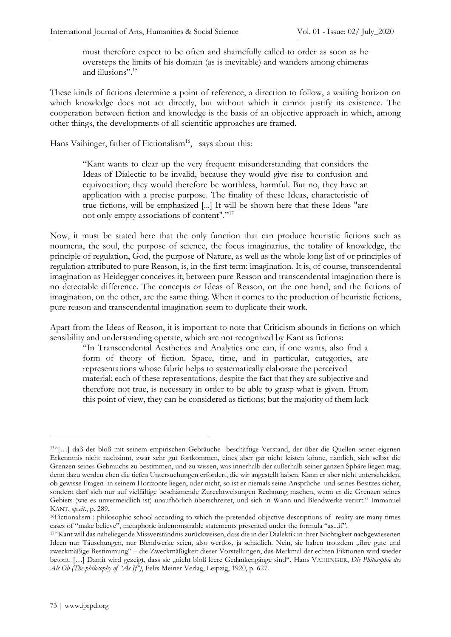must therefore expect to be often and shamefully called to order as soon as he oversteps the limits of his domain (as is inevitable) and wanders among chimeras and illusions".<sup>15</sup>

These kinds of fictions determine a point of reference, a direction to follow, a waiting horizon on which knowledge does not act directly, but without which it cannot justify its existence. The cooperation between fiction and knowledge is the basis of an objective approach in which, among other things, the developments of all scientific approaches are framed.

Hans Vaihinger, father of Fictionalism<sup>16</sup>, says about this:

"Kant wants to clear up the very frequent misunderstanding that considers the Ideas of Dialectic to be invalid, because they would give rise to confusion and equivocation; they would therefore be worthless, harmful. But no, they have an application with a precise purpose. The finality of these Ideas, characteristic of true fictions, will be emphasized [...] It will be shown here that these Ideas "are not only empty associations of content"."<sup>17</sup>

Now, it must be stated here that the only function that can produce heuristic fictions such as noumena, the soul, the purpose of science, the focus imaginarius, the totality of knowledge, the principle of regulation, God, the purpose of Nature, as well as the whole long list of or principles of regulation attributed to pure Reason, is, in the first term: imagination. It is, of course, transcendental imagination as Heidegger conceives it; between pure Reason and transcendental imagination there is no detectable difference. The concepts or Ideas of Reason, on the one hand, and the fictions of imagination, on the other, are the same thing. When it comes to the production of heuristic fictions, pure reason and transcendental imagination seem to duplicate their work.

Apart from the Ideas of Reason, it is important to note that Criticism abounds in fictions on which sensibility and understanding operate, which are not recognized by Kant as fictions:

"In Transcendental Aesthetics and Analytics one can, if one wants, also find a form of theory of fiction. Space, time, and in particular, categories, are representations whose fabric helps to systematically elaborate the perceived material; each of these representations, despite the fact that they are subjective and therefore not true, is necessary in order to be able to grasp what is given. From this point of view, they can be considered as fictions; but the majority of them lack

<sup>15</sup>"[…] daß der bloß mit seinem empirischen Gebräuche beschäftige Verstand, der über die Quellen seiner eigenen Erkenntnis nicht nachsinnt, zwar sehr gut fortkommen, eines aber gar nicht leisten könne, nämlich, sich selbst die Grenzen seines Gebrauchs zu bestimmen, und zu wissen, was innerhalb der außerhalb seiner ganzen Sphäre liegen mag; denn dazu werden eben die tiefen Untersuchungen erfordert, die wir angestellt haben. Kann er aber nicht unterscheiden, ob gewisse Fragen in seinem Horizonte liegen, oder nicht, so ist er niemals seine Ansprüche und seines Besitzes sicher, sondern darf sich nur auf vielfältige beschämende Zurechtweisungen Rechnung machen, wenn er die Grenzen seines Gebiets (wie es unvermeidlich ist) unaufhörlich überschreitet, und sich in Wann und Blendwerke verirrt." Immanuel KANT, *op.cit*., p. 289.

<sup>16</sup>Fictionalism : philosophic school according to which the pretended objective descriptions of reality are many times cases of "make believe", metaphoric indemonstrable statements presented under the formula "as...if".

<sup>17</sup>"Kant will das naheliegende Missverständnis zurückweisen, dass die in der Dialektik in ihrer Nichtigkeit nachgewiesenen Ideen nur Täuschungen, nur Blendwerke seien, also wertlos, ja schädlich. Nein, sie haben trotzdem "ihre gute und zweckmäßige Bestimmung" – die Zweckmäßigkeit dieser Vorstellungen, das Merkmal der echten Fiktionen wird wieder betont. [...] Damit wird gezeigt, dass sie "nicht bloß leere Gedankengänge sind". Hans VAIHINGER, Die Philosophie des *Als Ob (The philosophy of "As If")*, Felix Meiner Verlag, Leipzig, 1920, p. 627.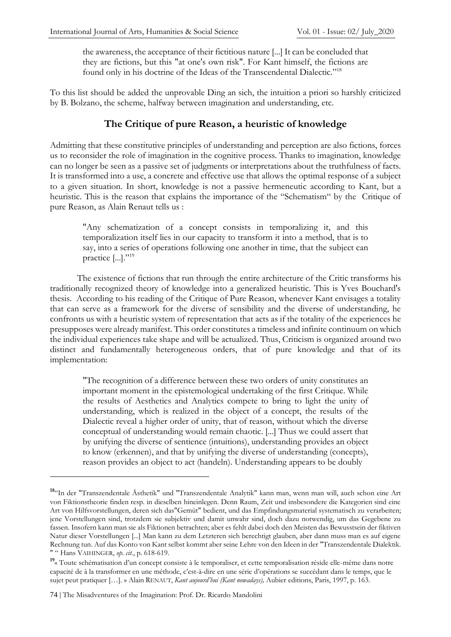the awareness, the acceptance of their fictitious nature [...] It can be concluded that they are fictions, but this "at one's own risk". For Kant himself, the fictions are found only in his doctrine of the Ideas of the Transcendental Dialectic."<sup>18</sup>

To this list should be added the unprovable Ding an sich, the intuition a priori so harshly criticized by B. Bolzano, the scheme, halfway between imagination and understanding, etc.

#### **The Critique of pure Reason, a heuristic of knowledge**

Admitting that these constitutive principles of understanding and perception are also fictions, forces us to reconsider the role of imagination in the cognitive process. Thanks to imagination, knowledge can no longer be seen as a passive set of judgments or interpretations about the truthfulness of facts. It is transformed into a use, a concrete and effective use that allows the optimal response of a subject to a given situation. In short, knowledge is not a passive hermeneutic according to Kant, but a heuristic. This is the reason that explains the importance of the "Schematism" by the Critique of pure Reason, as Alain Renaut tells us :

"Any schematization of a concept consists in temporalizing it, and this temporalization itself lies in our capacity to transform it into a method, that is to say, into a series of operations following one another in time, that the subject can practice  $[\ldots]$ ."<sup>19</sup>

The existence of fictions that run through the entire architecture of the Critic transforms his traditionally recognized theory of knowledge into a generalized heuristic. This is Yves Bouchard's thesis. According to his reading of the Critique of Pure Reason, whenever Kant envisages a totality that can serve as a framework for the diverse of sensibility and the diverse of understanding, he confronts us with a heuristic system of representation that acts as if the totality of the experiences he presupposes were already manifest. This order constitutes a timeless and infinite continuum on which the individual experiences take shape and will be actualized. Thus, Criticism is organized around two distinct and fundamentally heterogeneous orders, that of pure knowledge and that of its implementation:

"The recognition of a difference between these two orders of unity constitutes an important moment in the epistemological undertaking of the first Critique. While the results of Aesthetics and Analytics compete to bring to light the unity of understanding, which is realized in the object of a concept, the results of the Dialectic reveal a higher order of unity, that of reason, without which the diverse conceptual of understanding would remain chaotic. [...] Thus we could assert that by unifying the diverse of sentience (intuitions), understanding provides an object to know (erkennen), and that by unifying the diverse of understanding (concepts), reason provides an object to act (handeln). Understanding appears to be doubly

**<sup>18</sup>**"In der "Transzendentale Ästhetik" und "Transzendentale Analytik" kann man, wenn man will, auch schon eine Art von Fiktionstheorie finden resp. in dieselben hineinlegen. Denn Raum, Zeit und insbesondere die Kategorien sind eine Art von Hilfsvorstellungen, deren sich das"Gemüt" bedient, und das Empfindungsmaterial systematisch zu verarbeiten; jene Vorstellungen sind, trotzdem sie subjektiv und damit unwahr sind, doch dazu notwendig, um das Gegebene zu fassen. Insofern kann man sie als Fiktionen betrachten; aber es fehlt dabei doch den Meisten das Bewusstsein der fiktiven Natur dieser Vorstellungen [...] Man kann zu dem Letzteren sich berechtigt glauben, aber dann muss man es auf eigene Rechnung tun. Auf das Konto von Kant selbst kommt aber seine Lehre von den Ideen in der "Transzendentale Dialektik. " " Hans VAIHINGER, *op. cit.*, p. 618-619.

<sup>&</sup>lt;sup>19</sup>« Toute schématisation d'un concept consiste à le temporaliser, et cette temporalisation réside elle-même dans notre capacité de à la transformer en une méthode, c'est-à-dire en une série d'opérations se succédant dans le temps, que le sujet peut pratiquer […]. » Alain RENAUT, *Kant aujourd'hui (Kant nowadays),* Aubier editions, Paris, 1997, p. 163.

<sup>74</sup> | The Misadventures of the Imagination: Prof. Dr. Ricardo Mandolini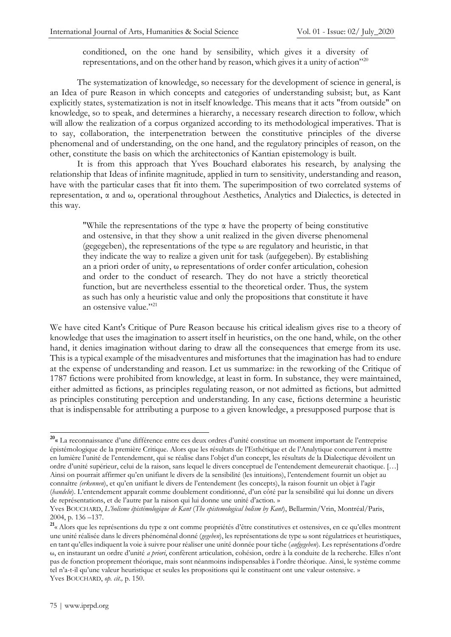conditioned, on the one hand by sensibility, which gives it a diversity of representations, and on the other hand by reason, which gives it a unity of action"<sup>20</sup>

The systematization of knowledge, so necessary for the development of science in general, is an Idea of pure Reason in which concepts and categories of understanding subsist; but, as Kant explicitly states, systematization is not in itself knowledge. This means that it acts "from outside" on knowledge, so to speak, and determines a hierarchy, a necessary research direction to follow, which will allow the realization of a corpus organized according to its methodological imperatives. That is to say, collaboration, the interpenetration between the constitutive principles of the diverse phenomenal and of understanding, on the one hand, and the regulatory principles of reason, on the other, constitute the basis on which the architectonics of Kantian epistemology is built.

It is from this approach that Yves Bouchard elaborates his research, by analysing the relationship that Ideas of infinite magnitude, applied in turn to sensitivity, understanding and reason, have with the particular cases that fit into them. The superimposition of two correlated systems of representation, α and ω, operational throughout Aesthetics, Analytics and Dialectics, is detected in this way.

"While the representations of the type α have the property of being constitutive and ostensive, in that they show a unit realized in the given diverse phenomenal (gegegeben), the representations of the type  $\omega$  are regulatory and heuristic, in that they indicate the way to realize a given unit for task (aufgegeben). By establishing an a priori order of unity, ω representations of order confer articulation, cohesion and order to the conduct of research. They do not have a strictly theoretical function, but are nevertheless essential to the theoretical order. Thus, the system as such has only a heuristic value and only the propositions that constitute it have an ostensive value."<sup>21</sup>

We have cited Kant's Critique of Pure Reason because his critical idealism gives rise to a theory of knowledge that uses the imagination to assert itself in heuristics, on the one hand, while, on the other hand, it denies imagination without daring to draw all the consequences that emerge from its use. This is a typical example of the misadventures and misfortunes that the imagination has had to endure at the expense of understanding and reason. Let us summarize: in the reworking of the Critique of 1787 fictions were prohibited from knowledge, at least in form. In substance, they were maintained, either admitted as fictions, as principles regulating reason, or not admitted as fictions, but admitted as principles constituting perception and understanding. In any case, fictions determine a heuristic that is indispensable for attributing a purpose to a given knowledge, a presupposed purpose that is

**<sup>20</sup>** « La reconnaissance d'une différence entre ces deux ordres d'unité constitue un moment important de l'entreprise épistémologique de la première Critique. Alors que les résultats de l'Esthétique et de l'Analytique concurrent à mettre en lumière l'unité de l'entendement, qui se réalise dans l'objet d'un concept, les résultats de la Dialectique dévoilent un ordre d'unité supérieur, celui de la raison, sans lequel le divers conceptuel de l'entendement demeurerait chaotique. […] Ainsi on pourrait affirmer qu'en unifiant le divers de la sensibilité (les intuitions), l'entendement fournit un objet au connaître *(erkennen*), et qu'en unifiant le divers de l'entendement (les concepts), la raison fournit un objet à l'agir (*handeln*). L'entendement apparaît comme doublement conditionné, d'un côté par la sensibilité qui lui donne un divers de représentations, et de l'autre par la raison qui lui donne une unité d'action. »

Yves BOUCHARD, *L'holisme épistémologique de Kant* (*The epistemological holism by Kant*), Bellarmin/Vrin, Montréal/Paris, 2004, p. 136 –137.

**<sup>21</sup>** « Alors que les représentions du type α ont comme propriétés d'être constitutives et ostensives, en ce qu'elles montrent une unité réalisée dans le divers phénoménal donné (*gegeben*), les représentations de type ω sont régulatrices et heuristiques, en tant qu'elles indiquent la voie à suivre pour réaliser une unité donnée pour tâche (*aufgegeben*). Les représentations d'ordre ω, en instaurant un ordre d'unité *a priori*, confèrent articulation, cohésion, ordre à la conduite de la recherche. Elles n'ont pas de fonction proprement théorique, mais sont néanmoins indispensables à l'ordre théorique. Ainsi, le système comme tel n'a-t-il qu'une valeur heuristique et seules les propositions qui le constituent ont une valeur ostensive. » Yves BOUCHARD, *op. cit.,* p. 150.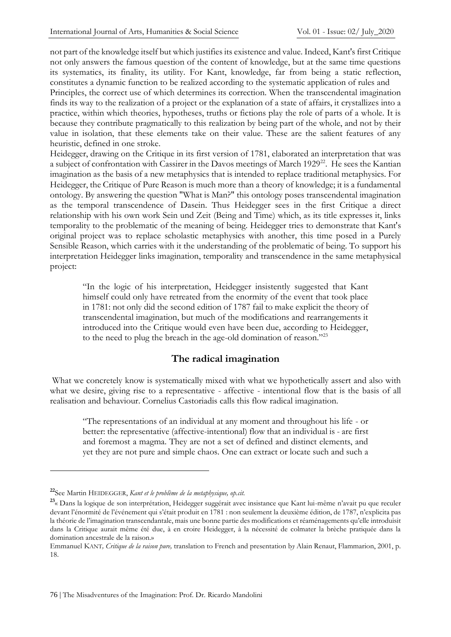not part of the knowledge itself but which justifies its existence and value. Indeed, Kant's first Critique not only answers the famous question of the content of knowledge, but at the same time questions its systematics, its finality, its utility. For Kant, knowledge, far from being a static reflection, constitutes a dynamic function to be realized according to the systematic application of rules and Principles, the correct use of which determines its correction. When the transcendental imagination finds its way to the realization of a project or the explanation of a state of affairs, it crystallizes into a practice, within which theories, hypotheses, truths or fictions play the role of parts of a whole. It is because they contribute pragmatically to this realization by being part of the whole, and not by their value in isolation, that these elements take on their value. These are the salient features of any heuristic, defined in one stroke.

Heidegger, drawing on the Critique in its first version of 1781, elaborated an interpretation that was a subject of confrontation with Cassirer in the Davos meetings of March 1929<sup>22</sup>. He sees the Kantian imagination as the basis of a new metaphysics that is intended to replace traditional metaphysics. For Heidegger, the Critique of Pure Reason is much more than a theory of knowledge; it is a fundamental ontology. By answering the question "What is Man?" this ontology poses transcendental imagination as the temporal transcendence of Dasein. Thus Heidegger sees in the first Critique a direct relationship with his own work Sein und Zeit (Being and Time) which, as its title expresses it, links temporality to the problematic of the meaning of being. Heidegger tries to demonstrate that Kant's original project was to replace scholastic metaphysics with another, this time posed in a Purely Sensible Reason, which carries with it the understanding of the problematic of being. To support his interpretation Heidegger links imagination, temporality and transcendence in the same metaphysical project:

"In the logic of his interpretation, Heidegger insistently suggested that Kant himself could only have retreated from the enormity of the event that took place in 1781: not only did the second edition of 1787 fail to make explicit the theory of transcendental imagination, but much of the modifications and rearrangements it introduced into the Critique would even have been due, according to Heidegger, to the need to plug the breach in the age-old domination of reason."<sup>23</sup>

## **The radical imagination**

What we concretely know is systematically mixed with what we hypothetically assert and also with what we desire, giving rise to a representative - affective - intentional flow that is the basis of all realisation and behaviour. Cornelius Castoriadis calls this flow radical imagination.

"The representations of an individual at any moment and throughout his life - or better: the representative (affective-intentional) flow that an individual is - are first and foremost a magma. They are not a set of defined and distinct elements, and yet they are not pure and simple chaos. One can extract or locate such and such a

**<sup>22</sup>**See Martin HEIDEGGER, *Kant et le problème de la metaphysique, op.cit.*

**<sup>23</sup>** « Dans la logique de son interprétation, Heidegger suggérait avec insistance que Kant lui-même n'avait pu que reculer devant l'énormité de l'événement qui s'était produit en 1781 : non seulement la deuxième édition, de 1787, n'explicita pas la théorie de l'imagination transcendantale, mais une bonne partie des modifications et réaménagements qu'elle introduisit dans la Critique aurait même été due, à en croire Heidegger, à la nécessité de colmater la brèche pratiquée dans la domination ancestrale de la raison.»

Emmanuel KANT*, Critique de la raison pure,* translation to French and presentation b*y* Alain Renaut, Flammarion, 2001, p. 18.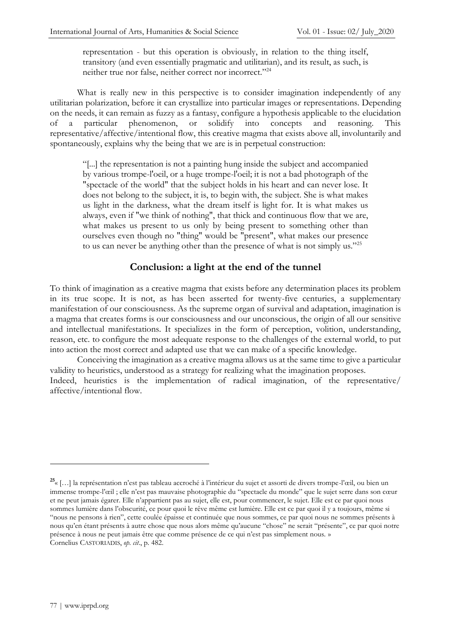representation - but this operation is obviously, in relation to the thing itself, transitory (and even essentially pragmatic and utilitarian), and its result, as such, is neither true nor false, neither correct nor incorrect."<sup>24</sup>

What is really new in this perspective is to consider imagination independently of any utilitarian polarization, before it can crystallize into particular images or representations. Depending on the needs, it can remain as fuzzy as a fantasy, configure a hypothesis applicable to the elucidation of a particular phenomenon, or solidify into concepts and reasoning. This representative/affective/intentional flow, this creative magma that exists above all, involuntarily and spontaneously, explains why the being that we are is in perpetual construction:

"[...] the representation is not a painting hung inside the subject and accompanied by various trompe-l'oeil, or a huge trompe-l'oeil; it is not a bad photograph of the "spectacle of the world" that the subject holds in his heart and can never lose. It does not belong to the subject, it is, to begin with, the subject. She is what makes us light in the darkness, what the dream itself is light for. It is what makes us always, even if "we think of nothing", that thick and continuous flow that we are, what makes us present to us only by being present to something other than ourselves even though no "thing" would be "present", what makes our presence to us can never be anything other than the presence of what is not simply us."<sup>25</sup>

#### **Conclusion: a light at the end of the tunnel**

To think of imagination as a creative magma that exists before any determination places its problem in its true scope. It is not, as has been asserted for twenty-five centuries, a supplementary manifestation of our consciousness. As the supreme organ of survival and adaptation, imagination is a magma that creates forms is our consciousness and our unconscious, the origin of all our sensitive and intellectual manifestations. It specializes in the form of perception, volition, understanding, reason, etc. to configure the most adequate response to the challenges of the external world, to put into action the most correct and adapted use that we can make of a specific knowledge.

Conceiving the imagination as a creative magma allows us at the same time to give a particular validity to heuristics, understood as a strategy for realizing what the imagination proposes. Indeed, heuristics is the implementation of radical imagination, of the representative/ affective/intentional flow.

**<sup>25</sup>** « […] la représentation n'est pas tableau accroché à l'intérieur du sujet et assorti de divers trompe-l'œil, ou bien un immense trompe-l'œil ; elle n'est pas mauvaise photographie du "spectacle du monde" que le sujet serre dans son cœur et ne peut jamais égarer. Elle n'appartient pas au sujet, elle est, pour commencer, le sujet. Elle est ce par quoi nous sommes lumière dans l'obscurité, ce pour quoi le rêve même est lumière. Elle est ce par quoi il y a toujours, même si "nous ne pensons à rien", cette coulée épaisse et continuée que nous sommes, ce par quoi nous ne sommes présents à nous qu'en étant présents à autre chose que nous alors même qu'aucune "chose" ne serait "présente", ce par quoi notre présence à nous ne peut jamais être que comme présence de ce qui n'est pas simplement nous. » Cornelius CASTORIADIS, *op. cit*., p. 482.